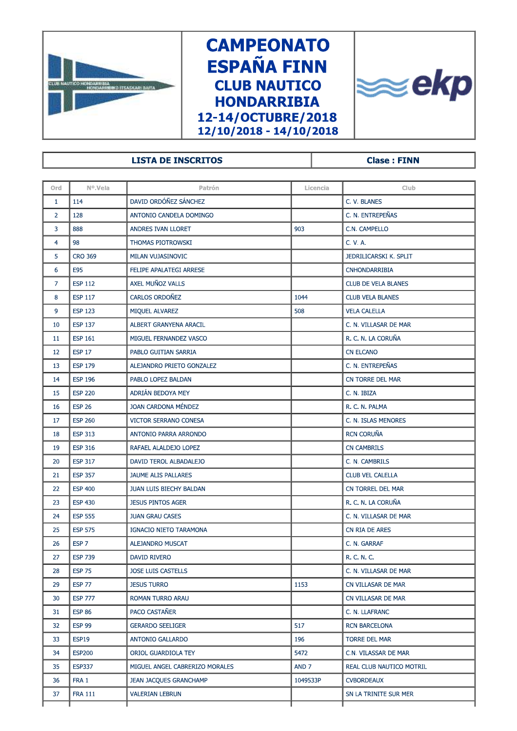

## **CAMPEONATO ESPAÑA FINN CLUB NAUTICO HONDARRIBIA** 12-14/OCTUBRE/2018  $12/10/2018 - 14/10/2018$



## LISTA DE INSCRITOS ANNO 1999 (Clase :

|                |                  |                                | 12/10/2018 - 14/10/2018 |                          |  |  |  |  |
|----------------|------------------|--------------------------------|-------------------------|--------------------------|--|--|--|--|
|                |                  |                                |                         |                          |  |  |  |  |
|                |                  | <b>LISTA DE INSCRITOS</b>      |                         | <b>Clase: FINN</b>       |  |  |  |  |
|                |                  |                                |                         |                          |  |  |  |  |
| Ord            | Nº.Vela          | Patrón                         | Licencia                | <b>Club</b>              |  |  |  |  |
| $\mathbf{1}$   | 114              | DAVID ORDÓÑEZ SÁNCHEZ          |                         | C. V. BLANES             |  |  |  |  |
| $\overline{2}$ | 128              | ANTONIO CANDELA DOMINGO        |                         | C. N. ENTREPEÑAS         |  |  |  |  |
| 3              | 888              | ANDRES IVAN LLORET             | 903                     | C.N. CAMPELLO            |  |  |  |  |
| $\overline{4}$ | 98               | THOMAS PIOTROWSKI              |                         | C. V. A.                 |  |  |  |  |
| 5              | <b>CRO 369</b>   | MILAN VUJASINOVIC              |                         | JEDRILICARSKI K. SPLIT   |  |  |  |  |
| 6              | E95              | FELIPE APALATEGI ARRESE        |                         | <b>CNHONDARRIBIA</b>     |  |  |  |  |
| 7              | <b>ESP 112</b>   | AXEL MUÑOZ VALLS               |                         | CLUB DE VELA BLANES      |  |  |  |  |
| 8              | <b>ESP 117</b>   | <b>CARLOS ORDOÑEZ</b>          | 1044                    | <b>CLUB VELA BLANES</b>  |  |  |  |  |
| 9              | <b>ESP 123</b>   | MIQUEL ALVAREZ                 | 508                     | <b>VELA CALELLA</b>      |  |  |  |  |
| 10             | <b>ESP 137</b>   | ALBERT GRANYENA ARACIL         |                         | C. N. VILLASAR DE MAR    |  |  |  |  |
| 11             | <b>ESP 161</b>   | MIGUEL FERNANDEZ VASCO         |                         | R. C. N. LA CORUÑA       |  |  |  |  |
| 12             | <b>ESP 17</b>    | PABLO GUITIAN SARRIA           |                         | <b>CN ELCANO</b>         |  |  |  |  |
| 13             | <b>ESP 179</b>   | ALEJANDRO PRIETO GONZALEZ      |                         | C. N. ENTREPEÑAS         |  |  |  |  |
| 14             | <b>ESP 196</b>   | PABLO LOPEZ BALDAN             |                         | CN TORRE DEL MAR         |  |  |  |  |
| 15             | <b>ESP 220</b>   | ADRIÁN BEDOYA MEY              |                         | C. N. IBIZA              |  |  |  |  |
| 16             | <b>ESP 26</b>    | <b>JOAN CARDONA MÉNDEZ</b>     |                         | R. C. N. PALMA           |  |  |  |  |
| 17             | <b>ESP 260</b>   | VICTOR SERRANO CONESA          |                         | C. N. ISLAS MENORES      |  |  |  |  |
| 18             | <b>ESP 313</b>   | ANTONIO PARRA ARRONDO          |                         | <b>RCN CORUÑA</b>        |  |  |  |  |
| 19             | <b>ESP 316</b>   | RAFAEL ALALDEJO LOPEZ          |                         | <b>CN CAMBRILS</b>       |  |  |  |  |
| 20             | <b>ESP 317</b>   | DAVID TEROL ALBADALEJO         |                         | C. N. CAMBRILS           |  |  |  |  |
| 21             | <b>ESP 357</b>   | JAUME ALIS PALLARES            |                         | <b>CLUB VEL CALELLA</b>  |  |  |  |  |
| 22             | <b>ESP 400</b>   | JUAN LUIS BIECHY BALDAN        |                         | CN TORREL DEL MAR        |  |  |  |  |
| 23             | <b>ESP 430</b>   | <b>JESUS PINTOS AGER</b>       |                         | R. C. N. LA CORUÑA       |  |  |  |  |
| 24             | <b>ESP 555</b>   | <b>JUAN GRAU CASES</b>         |                         | C. N. VILLASAR DE MAR    |  |  |  |  |
| 25             | <b>ESP 575</b>   | <b>IGNACIO NIETO TARAMONA</b>  |                         | CN RIA DE ARES           |  |  |  |  |
| 26             | ESP <sub>7</sub> | ALEJANDRO MUSCAT               |                         | C. N. GARRAF             |  |  |  |  |
| 27             | <b>ESP 739</b>   | <b>DAVID RIVERO</b>            |                         | R. C. N. C.              |  |  |  |  |
| 28             | <b>ESP 75</b>    | JOSE LUIS CASTELLS             |                         | C. N. VILLASAR DE MAR    |  |  |  |  |
| 29             | <b>ESP 77</b>    | <b>JESUS TURRO</b>             | 1153                    | CN VILLASAR DE MAR       |  |  |  |  |
| 30             | <b>ESP 777</b>   | ROMAN TURRO ARAU               |                         | CN VILLASAR DE MAR       |  |  |  |  |
| 31             | <b>ESP 86</b>    | PACO CASTAÑER                  |                         | C. N. LLAFRANC           |  |  |  |  |
| 32             | <b>ESP 99</b>    | <b>GERARDO SEELIGER</b>        | 517                     | <b>RCN BARCELONA</b>     |  |  |  |  |
| 33             | <b>ESP19</b>     | <b>ANTONIO GALLARDO</b>        | 196                     | <b>TORRE DEL MAR</b>     |  |  |  |  |
| 34             | <b>ESP200</b>    | ORIOL GUARDIOLA TEY            | 5472                    | C.N. VILASSAR DE MAR     |  |  |  |  |
| 35             | <b>ESP337</b>    | MIGUEL ANGEL CABRERIZO MORALES | AND <sub>7</sub>        | REAL CLUB NAUTICO MOTRIL |  |  |  |  |
| 36             | FRA 1            | <b>JEAN JACQUES GRANCHAMP</b>  | 1049533P                | <b>CVBORDEAUX</b>        |  |  |  |  |
| 37             | <b>FRA 111</b>   | <b>VALERIAN LEBRUN</b>         |                         | SN LA TRINITE SUR MER    |  |  |  |  |
|                |                  |                                |                         |                          |  |  |  |  |